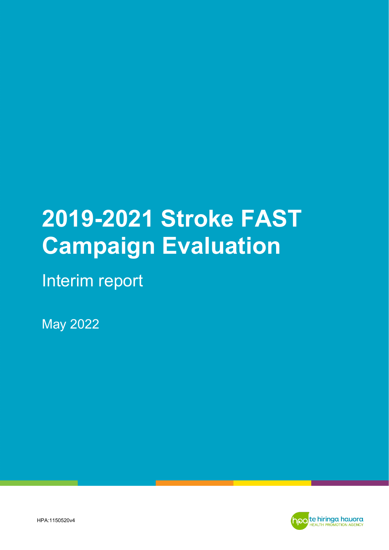# **2019-2021 Stroke FAST Campaign Evaluation**

Interim report

May 2022



HPA:1150520v4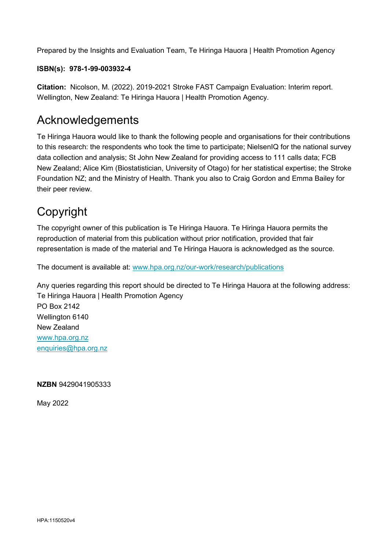Prepared by the Insights and Evaluation Team, Te Hiringa Hauora | Health Promotion Agency

#### **ISBN(s): 978-1-99-003932-4**

**Citation:** Nicolson, M. (2022). 2019-2021 Stroke FAST Campaign Evaluation: Interim report. Wellington, New Zealand: Te Hiringa Hauora | Health Promotion Agency.

## Acknowledgements

Te Hiringa Hauora would like to thank the following people and organisations for their contributions to this research: the respondents who took the time to participate; NielsenIQ for the national survey data collection and analysis; St John New Zealand for providing access to 111 calls data; FCB New Zealand; Alice Kim (Biostatistician, University of Otago) for her statistical expertise; the Stroke Foundation NZ; and the Ministry of Health. Thank you also to Craig Gordon and Emma Bailey for their peer review.

## Copyright

The copyright owner of this publication is Te Hiringa Hauora. Te Hiringa Hauora permits the reproduction of material from this publication without prior notification, provided that fair representation is made of the material and Te Hiringa Hauora is acknowledged as the source.

The document is available at: [www.hpa.org.nz/our-work/research/publications](http://www.hpa.org.nz/our-work/research/publications)

Any queries regarding this report should be directed to Te Hiringa Hauora at the following address: Te Hiringa Hauora | Health Promotion Agency

PO Box 2142 Wellington 6140 New Zealand [www.hpa.org.nz](http://www.hpa.org.nz/)  [enquiries@hpa.org.nz](mailto:enquiries@hpa.org.nz)

#### **NZBN** 9429041905333

May 2022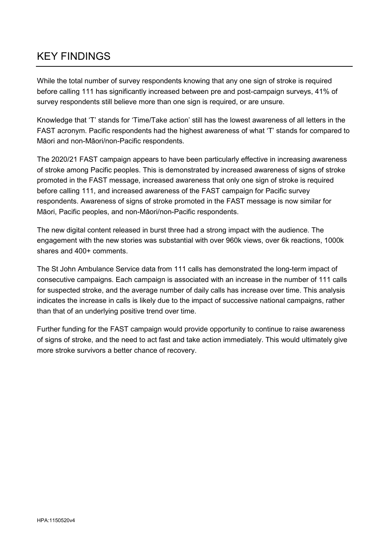## <span id="page-2-0"></span>KEY FINDINGS

While the total number of survey respondents knowing that any one sign of stroke is required before calling 111 has significantly increased between pre and post-campaign surveys, 41% of survey respondents still believe more than one sign is required, or are unsure.

Knowledge that 'T' stands for 'Time/Take action' still has the lowest awareness of all letters in the FAST acronym. Pacific respondents had the highest awareness of what 'T' stands for compared to Māori and non-Māori/non-Pacific respondents.

The 2020/21 FAST campaign appears to have been particularly effective in increasing awareness of stroke among Pacific peoples. This is demonstrated by increased awareness of signs of stroke promoted in the FAST message, increased awareness that only one sign of stroke is required before calling 111, and increased awareness of the FAST campaign for Pacific survey respondents. Awareness of signs of stroke promoted in the FAST message is now similar for Māori, Pacific peoples, and non-Māori/non-Pacific respondents.

The new digital content released in burst three had a strong impact with the audience. The engagement with the new stories was substantial with over 960k views, over 6k reactions, 1000k shares and 400+ comments.

The St John Ambulance Service data from 111 calls has demonstrated the long-term impact of consecutive campaigns. Each campaign is associated with an increase in the number of 111 calls for suspected stroke, and the average number of daily calls has increase over time. This analysis indicates the increase in calls is likely due to the impact of successive national campaigns, rather than that of an underlying positive trend over time.

Further funding for the FAST campaign would provide opportunity to continue to raise awareness of signs of stroke, and the need to act fast and take action immediately. This would ultimately give more stroke survivors a better chance of recovery.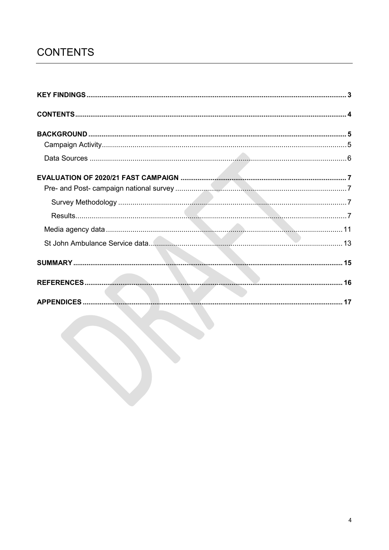## <span id="page-3-0"></span>**CONTENTS**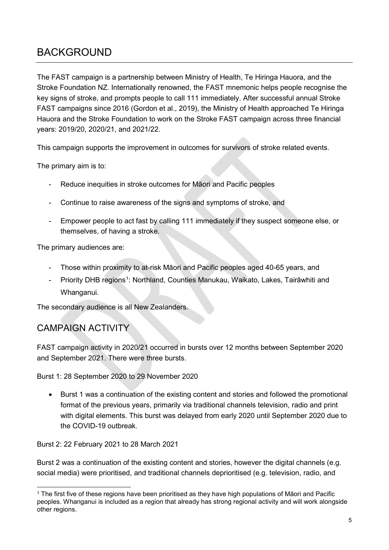## <span id="page-4-0"></span>BACKGROUND

The FAST campaign is a partnership between Ministry of Health, Te Hiringa Hauora, and the Stroke Foundation NZ. Internationally renowned, the FAST mnemonic helps people recognise the key signs of stroke, and prompts people to call 111 immediately. After successful annual Stroke FAST campaigns since 2016 (Gordon et al., 2019), the Ministry of Health approached Te Hiringa Hauora and the Stroke Foundation to work on the Stroke FAST campaign across three financial years: 2019/20, 2020/21, and 2021/22.

This campaign supports the improvement in outcomes for survivors of stroke related events.

The primary aim is to:

- Reduce inequities in stroke outcomes for Māori and Pacific peoples
- Continue to raise awareness of the signs and symptoms of stroke, and
- Empower people to act fast by calling 111 immediately if they suspect someone else, or themselves, of having a stroke.

The primary audiences are:

- Those within proximity to at-risk Māori and Pacific peoples aged 40-65 years, and
- Priority DHB regions<sup>[1](#page-4-2)</sup>: Northland, Counties Manukau, Waikato, Lakes, Tairāwhiti and Whanganui.

The secondary audience is all New Zealanders.

### <span id="page-4-1"></span>CAMPAIGN ACTIVITY

FAST campaign activity in 2020/21 occurred in bursts over 12 months between September 2020 and September 2021. There were three bursts.

Burst 1: 28 September 2020 to 29 November 2020

• Burst 1 was a continuation of the existing content and stories and followed the promotional format of the previous years, primarily via traditional channels television, radio and print with digital elements. This burst was delayed from early 2020 until September 2020 due to the COVID-19 outbreak.

Burst 2: 22 February 2021 to 28 March 2021

Burst 2 was a continuation of the existing content and stories, however the digital channels (e.g. social media) were prioritised, and traditional channels deprioritised (e.g. television, radio, and

<span id="page-4-2"></span> <sup>1</sup> The first five of these regions have been prioritised as they have high populations of Māori and Pacific peoples. Whanganui is included as a region that already has strong regional activity and will work alongside other regions.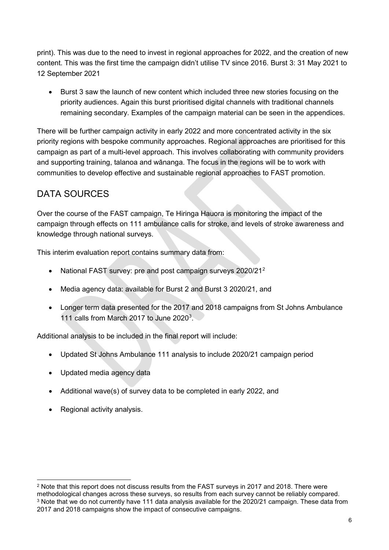print). This was due to the need to invest in regional approaches for 2022, and the creation of new content. This was the first time the campaign didn't utilise TV since 2016. Burst 3: 31 May 2021 to 12 September 2021

• Burst 3 saw the launch of new content which included three new stories focusing on the priority audiences. Again this burst prioritised digital channels with traditional channels remaining secondary. Examples of the campaign material can be seen in the appendices.

There will be further campaign activity in early 2022 and more concentrated activity in the six priority regions with bespoke community approaches. Regional approaches are prioritised for this campaign as part of a multi-level approach. This involves collaborating with community providers and supporting training, talanoa and wānanga. The focus in the regions will be to work with communities to develop effective and sustainable regional approaches to FAST promotion.

## <span id="page-5-0"></span>DATA SOURCES

Over the course of the FAST campaign, Te Hiringa Hauora is monitoring the impact of the campaign through effects on 111 ambulance calls for stroke, and levels of stroke awareness and knowledge through national surveys.

This interim evaluation report contains summary data from:

- National FAST survey: pre and post campaign surveys [2](#page-5-1)020/21<sup>2</sup>
- Media agency data: available for Burst 2 and Burst 3 2020/21, and
- Longer term data presented for the 2017 and 2018 campaigns from St Johns Ambulance 111 calls from March 2017 to June 2020<sup>3</sup>.

Additional analysis to be included in the final report will include:

- Updated St Johns Ambulance 111 analysis to include 2020/21 campaign period
- Updated media agency data
- Additional wave(s) of survey data to be completed in early 2022, and
- Regional activity analysis.

<span id="page-5-2"></span><span id="page-5-1"></span><sup>&</sup>lt;sup>2</sup> Note that this report does not discuss results from the FAST surveys in 2017 and 2018. There were methodological changes across these surveys, so results from each survey cannot be reliably compared. <sup>3</sup> Note that we do not currently have 111 data analysis available for the 2020/21 campaign. These data from 2017 and 2018 campaigns show the impact of consecutive campaigns.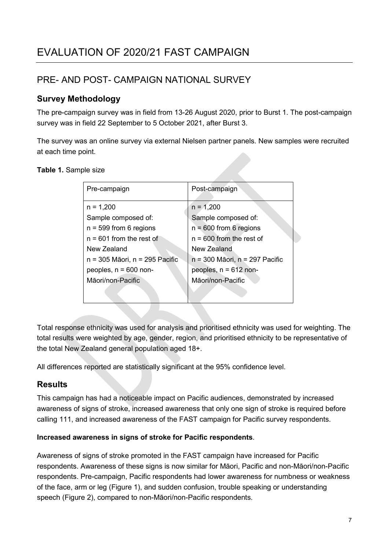## <span id="page-6-1"></span><span id="page-6-0"></span>PRE- AND POST- CAMPAIGN NATIONAL SURVEY

#### <span id="page-6-2"></span>**Survey Methodology**

The pre-campaign survey was in field from 13-26 August 2020, prior to Burst 1. The post-campaign survey was in field 22 September to 5 October 2021, after Burst 3.

The survey was an online survey via external Nielsen partner panels. New samples were recruited at each time point.

#### **Table 1.** Sample size

| Pre-campaign                   | Post-campaign                  |
|--------------------------------|--------------------------------|
| $n = 1,200$                    | $n = 1,200$                    |
| Sample composed of:            | Sample composed of:            |
| $n = 599$ from 6 regions       | $n = 600$ from 6 regions       |
| $n = 601$ from the rest of     | $n = 600$ from the rest of     |
| New Zealand                    | New Zealand                    |
| n = 305 Māori, n = 295 Pacific | n = 300 Māori, n = 297 Pacific |
| peoples, $n = 600$ non-        | peoples, $n = 612$ non-        |
| Māori/non-Pacific              | Māori/non-Pacific              |
|                                |                                |

Total response ethnicity was used for analysis and prioritised ethnicity was used for weighting. The total results were weighted by age, gender, region, and prioritised ethnicity to be representative of the total New Zealand general population aged 18+.

All differences reported are statistically significant at the 95% confidence level.

#### <span id="page-6-3"></span>**Results**

This campaign has had a noticeable impact on Pacific audiences, demonstrated by increased awareness of signs of stroke, increased awareness that only one sign of stroke is required before calling 111, and increased awareness of the FAST campaign for Pacific survey respondents.

#### **Increased awareness in signs of stroke for Pacific respondents***.*

Awareness of signs of stroke promoted in the FAST campaign have increased for Pacific respondents. Awareness of these signs is now similar for Māori, Pacific and non-Māori/non-Pacific respondents. Pre-campaign, Pacific respondents had lower awareness for numbness or weakness of the face, arm or leg (Figure 1), and sudden confusion, trouble speaking or understanding speech (Figure 2), compared to non-Māori/non-Pacific respondents.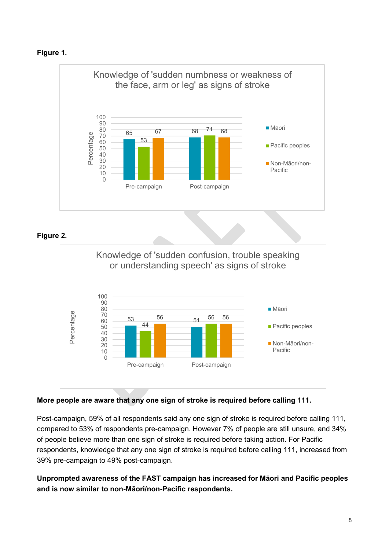



#### **Figure 2.**



#### **More people are aware that any one sign of stroke is required before calling 111.**

Post-campaign, 59% of all respondents said any one sign of stroke is required before calling 111, compared to 53% of respondents pre-campaign. However 7% of people are still unsure, and 34% of people believe more than one sign of stroke is required before taking action. For Pacific respondents, knowledge that any one sign of stroke is required before calling 111, increased from 39% pre-campaign to 49% post-campaign.

#### **Unprompted awareness of the FAST campaign has increased for Māori and Pacific peoples and is now similar to non-Māori/non-Pacific respondents.**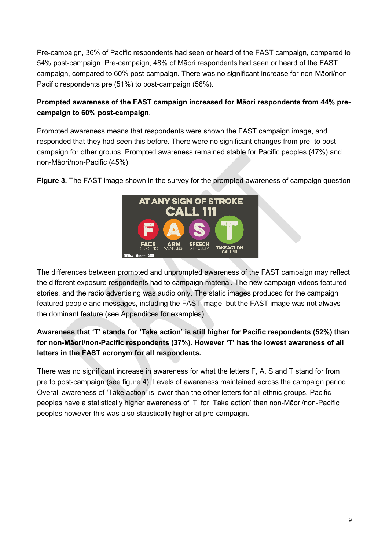Pre-campaign, 36% of Pacific respondents had seen or heard of the FAST campaign, compared to 54% post-campaign. Pre-campaign, 48% of Māori respondents had seen or heard of the FAST campaign, compared to 60% post-campaign. There was no significant increase for non-Māori/non-Pacific respondents pre (51%) to post-campaign (56%).

#### **Prompted awareness of the FAST campaign increased for Māori respondents from 44% precampaign to 60% post-campaign**.

Prompted awareness means that respondents were shown the FAST campaign image, and responded that they had seen this before. There were no significant changes from pre- to postcampaign for other groups. Prompted awareness remained stable for Pacific peoples (47%) and non-Māori/non-Pacific (45%).

> AT ANY SIGN OF STROKE CTIOI

**Figure 3.** The FAST image shown in the survey for the prompted awareness of campaign question

The differences between prompted and unprompted awareness of the FAST campaign may reflect the different exposure respondents had to campaign material. The new campaign videos featured stories, and the radio advertising was audio only. The static images produced for the campaign featured people and messages, including the FAST image, but the FAST image was not always the dominant feature (see Appendices for examples).

#### **Awareness that 'T' stands for 'Take action' is still higher for Pacific respondents (52%) than for non-Māori/non-Pacific respondents (37%). However 'T' has the lowest awareness of all letters in the FAST acronym for all respondents.**

There was no significant increase in awareness for what the letters F, A, S and T stand for from pre to post-campaign (see figure 4). Levels of awareness maintained across the campaign period. Overall awareness of 'Take action' is lower than the other letters for all ethnic groups. Pacific peoples have a statistically higher awareness of 'T' for 'Take action' than non-Māori/non-Pacific peoples however this was also statistically higher at pre-campaign.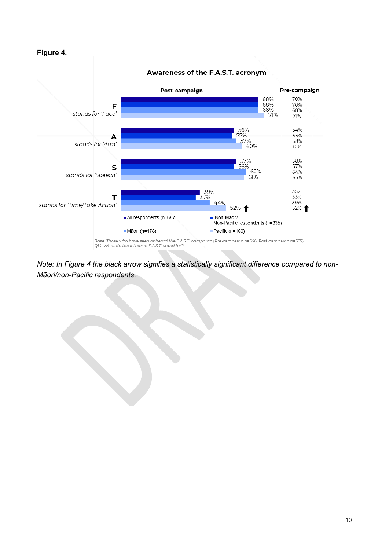#### **Figure 4.**



*Note: In Figure 4 the black arrow signifies a statistically significant difference compared to non-Māori/non-Pacific respondents.*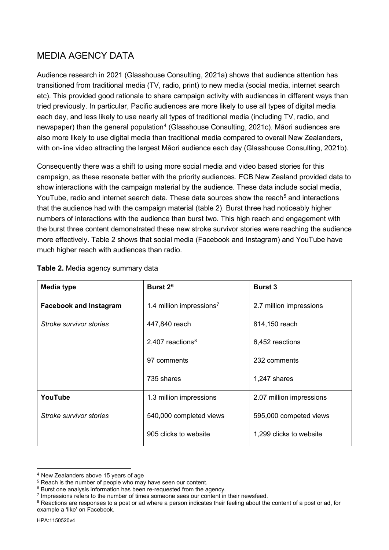## <span id="page-10-0"></span>MEDIA AGENCY DATA

Audience research in 2021 (Glasshouse Consulting, 2021a) shows that audience attention has transitioned from traditional media (TV, radio, print) to new media (social media, internet search etc). This provided good rationale to share campaign activity with audiences in different ways than tried previously. In particular, Pacific audiences are more likely to use all types of digital media each day, and less likely to use nearly all types of traditional media (including TV, radio, and newspaper) than the general population<sup>[4](#page-10-1)</sup> (Glasshouse Consulting, 2021c). Māori audiences are also more likely to use digital media than traditional media compared to overall New Zealanders, with on-line video attracting the largest Māori audience each day (Glasshouse Consulting, 2021b).

Consequently there was a shift to using more social media and video based stories for this campaign, as these resonate better with the priority audiences. FCB New Zealand provided data to show interactions with the campaign material by the audience. These data include social media, YouTube, radio and internet search data. These data sources show the reach<sup>[5](#page-10-2)</sup> and interactions that the audience had with the campaign material (table 2). Burst three had noticeably higher numbers of interactions with the audience than burst two. This high reach and engagement with the burst three content demonstrated these new stroke survivor stories were reaching the audience more effectively. Table 2 shows that social media (Facebook and Instagram) and YouTube have much higher reach with audiences than radio.

| Media type                    | Burst 2 <sup>6</sup>                 | <b>Burst 3</b>           |
|-------------------------------|--------------------------------------|--------------------------|
| <b>Facebook and Instagram</b> | 1.4 million impressions <sup>7</sup> | 2.7 million impressions  |
| Stroke survivor stories       | 447,840 reach                        | 814,150 reach            |
|                               | 2,407 reactions <sup>8</sup>         | 6,452 reactions          |
|                               | 97 comments                          | 232 comments             |
|                               | 735 shares                           | 1,247 shares             |
| YouTube                       | 1.3 million impressions              | 2.07 million impressions |
| Stroke survivor stories       | 540,000 completed views              | 595,000 competed views   |
|                               | 905 clicks to website                | 1,299 clicks to website  |

#### **Table 2.** Media agency summary data

<span id="page-10-1"></span> <sup>4</sup> New Zealanders above 15 years of age

<span id="page-10-2"></span><sup>&</sup>lt;sup>5</sup> Reach is the number of people who may have seen our content.

<span id="page-10-3"></span><sup>6</sup> Burst one analysis information has been re-requested from the agency.

<span id="page-10-4"></span><sup>&</sup>lt;sup>7</sup> Impressions refers to the number of times someone sees our content in their newsfeed.

<span id="page-10-5"></span><sup>&</sup>lt;sup>8</sup> Reactions are responses to a post or ad where a person indicates their feeling about the content of a post or ad, for example a 'like' on Facebook.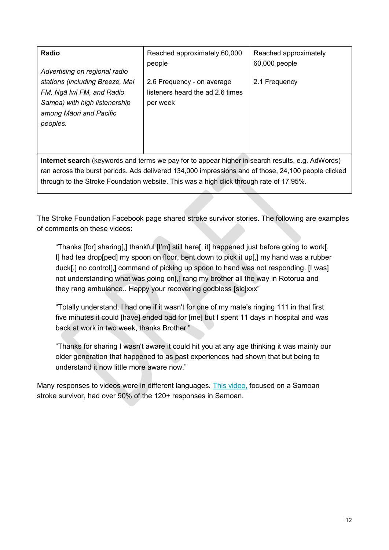| Radio<br>Advertising on regional radio                                                                                                                                                                         | Reached approximately 60,000<br>people                                     | Reached approximately<br>60,000 people |  |
|----------------------------------------------------------------------------------------------------------------------------------------------------------------------------------------------------------------|----------------------------------------------------------------------------|----------------------------------------|--|
| stations (including Breeze, Mai<br>FM, Ngā Iwi FM, and Radio<br>Samoa) with high listenership<br>among Māori and Pacific<br>peoples.                                                                           | 2.6 Frequency - on average<br>listeners heard the ad 2.6 times<br>per week | 2.1 Frequency                          |  |
| Internet search (keywords and terms we pay for to appear higher in search results, e.g. AdWords)<br>المساحلات والمسوور 0.4.400 ومسوالا كمار في مسوك من من 40.4.000 لوسود فاصل والمساح والمناسب والمسود المساحي |                                                                            |                                        |  |

ran across the burst periods. Ads delivered 134,000 impressions and of those, 24,100 people clicked through to the Stroke Foundation website. This was a high click through rate of 17.95%.

The Stroke Foundation Facebook page shared stroke survivor stories. The following are examples of comments on these videos:

"Thanks [for] sharing[,] thankful [I'm] still here[, it] happened just before going to work[. I] had tea drop[ped] my spoon on floor, bent down to pick it up[,] my hand was a rubber duck[,] no control[,] command of picking up spoon to hand was not responding. [I was] not understanding what was going on[,] rang my brother all the way in Rotorua and they rang ambulance.. Happy your recovering godbless [sic]xxx"

"Totally understand, I had one if it wasn't for one of my mate's ringing 111 in that first five minutes it could [have] ended bad for [me] but I spent 11 days in hospital and was back at work in two week, thanks Brother."

"Thanks for sharing I wasn't aware it could hit you at any age thinking it was mainly our older generation that happened to as past experiences had shown that but being to understand it now little more aware now."

Many responses to videos were in different languages. [This video,](https://www.facebook.com/StrokeFoundationNZ/videos/4168798193238709) focused on a Samoan stroke survivor, had over 90% of the 120+ responses in Samoan.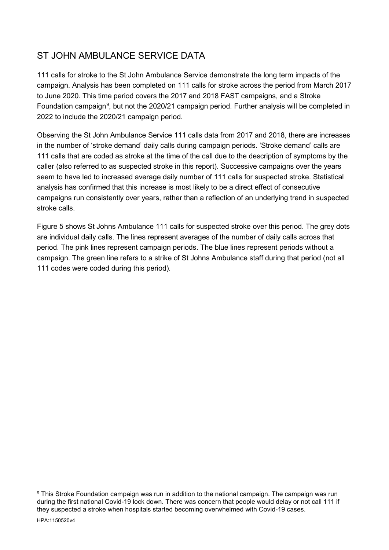## <span id="page-12-0"></span>ST JOHN AMBULANCE SERVICE DATA

111 calls for stroke to the St John Ambulance Service demonstrate the long term impacts of the campaign. Analysis has been completed on 111 calls for stroke across the period from March 2017 to June 2020. This time period covers the 2017 and 2018 FAST campaigns, and a Stroke Foundation campaign<sup>[9](#page-12-1)</sup>, but not the 2020/21 campaign period. Further analysis will be completed in 2022 to include the 2020/21 campaign period.

Observing the St John Ambulance Service 111 calls data from 2017 and 2018, there are increases in the number of 'stroke demand' daily calls during campaign periods. 'Stroke demand' calls are 111 calls that are coded as stroke at the time of the call due to the description of symptoms by the caller (also referred to as suspected stroke in this report). Successive campaigns over the years seem to have led to increased average daily number of 111 calls for suspected stroke. Statistical analysis has confirmed that this increase is most likely to be a direct effect of consecutive campaigns run consistently over years, rather than a reflection of an underlying trend in suspected stroke calls.

Figure 5 shows St Johns Ambulance 111 calls for suspected stroke over this period. The grey dots are individual daily calls. The lines represent averages of the number of daily calls across that period. The pink lines represent campaign periods. The blue lines represent periods without a campaign. The green line refers to a strike of St Johns Ambulance staff during that period (not all 111 codes were coded during this period).

<span id="page-12-1"></span><sup>&</sup>lt;sup>9</sup> This Stroke Foundation campaign was run in addition to the national campaign. The campaign was run during the first national Covid-19 lock down. There was concern that people would delay or not call 111 if they suspected a stroke when hospitals started becoming overwhelmed with Covid-19 cases.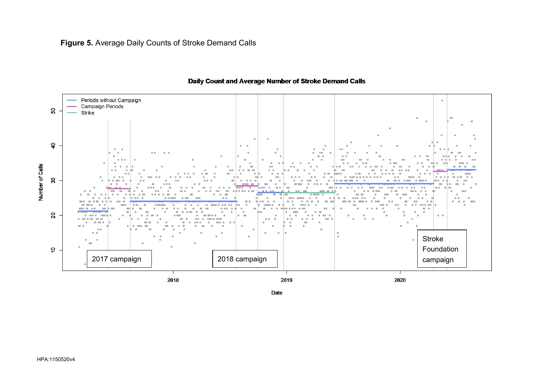#### **Figure 5.** Average Daily Counts of Stroke Demand Calls



#### Daily Count and Average Number of Stroke Demand Calls

Date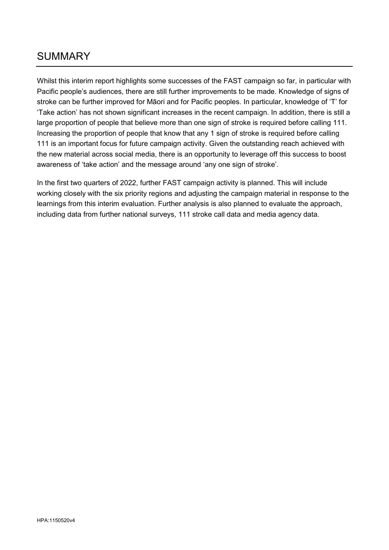## <span id="page-14-0"></span>SUMMARY

Whilst this interim report highlights some successes of the FAST campaign so far, in particular with Pacific people's audiences, there are still further improvements to be made. Knowledge of signs of stroke can be further improved for Māori and for Pacific peoples. In particular, knowledge of 'T' for 'Take action' has not shown significant increases in the recent campaign. In addition, there is still a large proportion of people that believe more than one sign of stroke is required before calling 111. Increasing the proportion of people that know that any 1 sign of stroke is required before calling 111 is an important focus for future campaign activity. Given the outstanding reach achieved with the new material across social media, there is an opportunity to leverage off this success to boost awareness of 'take action' and the message around 'any one sign of stroke'.

In the first two quarters of 2022, further FAST campaign activity is planned. This will include working closely with the six priority regions and adjusting the campaign material in response to the learnings from this interim evaluation. Further analysis is also planned to evaluate the approach, including data from further national surveys, 111 stroke call data and media agency data.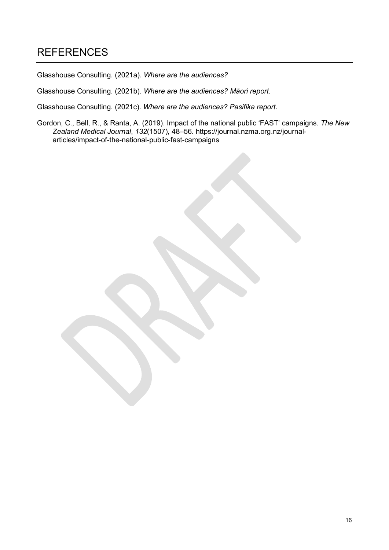## <span id="page-15-0"></span>**REFERENCES**

Glasshouse Consulting. (2021a). *Where are the audiences?*

Glasshouse Consulting. (2021b). *Where are the audiences? Māori report*.

Glasshouse Consulting. (2021c). *Where are the audiences? Pasifika report*.

Gordon, C., Bell, R., & Ranta, A. (2019). Impact of the national public 'FAST' campaigns. *The New Zealand Medical Journal*, *132*(1507), 48–56. https://journal.nzma.org.nz/journalarticles/impact-of-the-national-public-fast-campaigns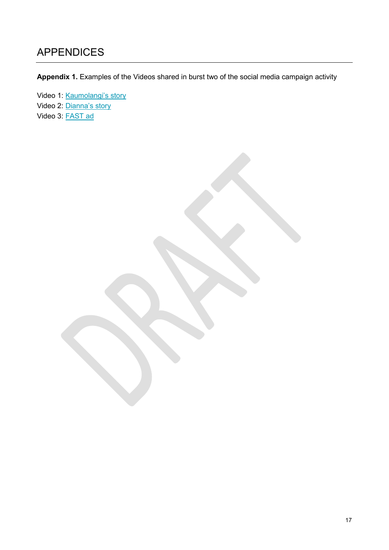## <span id="page-16-0"></span>APPENDICES

**Appendix 1.** Examples of the Videos shared in burst two of the social media campaign activity

Video 1: [Kaumolangi's story](https://www.youtube.com/watch?v=5DQC0uJS3ls) Video 2: [Dianna's story](https://www.youtube.com/watch?v=BBD0p2IhDEQ) Video 3: [FAST ad](https://www.youtube.com/watch?v=UfQpiIuxMuc&t=22s)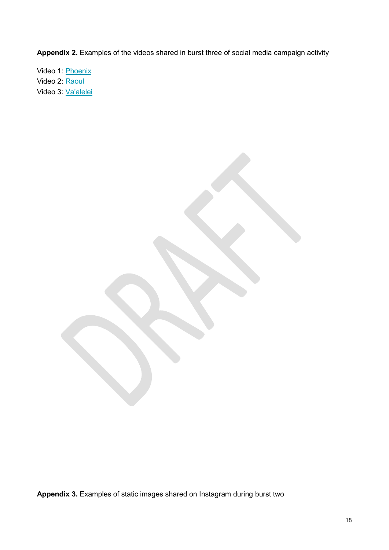**Appendix 2.** Examples of the videos shared in burst three of social media campaign activity

Video 1: [Phoenix](https://youtu.be/3e6HGiAjeCI) Video 2: [Raoul](https://youtu.be/q1ciH6gNCZ0) Video 3: [Va'alelei](https://youtu.be/JQ-V8sCTCN0)

**Appendix 3.** Examples of static images shared on Instagram during burst two